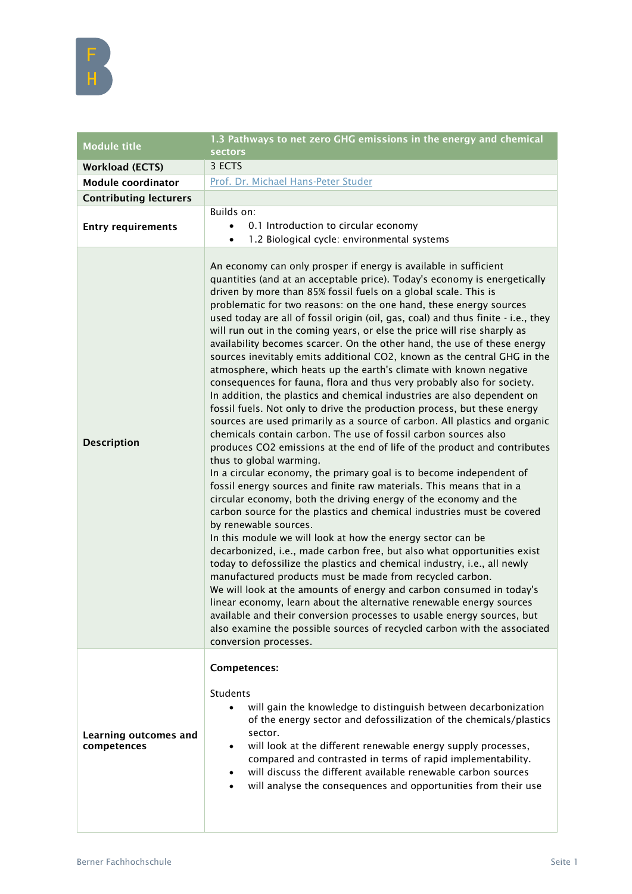| <b>Module title</b>                  | 1.3 Pathways to net zero GHG emissions in the energy and chemical<br><b>sectors</b>                                                                                                                                                                                                                                                                                                                                                                                                                                                                                                                                                                                                                                                                                                                                                                                                                                                                                                                                                                                                                                                                                                                                                                                                                                                                                                                                                                                                                                                                                                                                                                                                                                                                                                                                                                                                                                                                                                                                                                                                                                   |
|--------------------------------------|-----------------------------------------------------------------------------------------------------------------------------------------------------------------------------------------------------------------------------------------------------------------------------------------------------------------------------------------------------------------------------------------------------------------------------------------------------------------------------------------------------------------------------------------------------------------------------------------------------------------------------------------------------------------------------------------------------------------------------------------------------------------------------------------------------------------------------------------------------------------------------------------------------------------------------------------------------------------------------------------------------------------------------------------------------------------------------------------------------------------------------------------------------------------------------------------------------------------------------------------------------------------------------------------------------------------------------------------------------------------------------------------------------------------------------------------------------------------------------------------------------------------------------------------------------------------------------------------------------------------------------------------------------------------------------------------------------------------------------------------------------------------------------------------------------------------------------------------------------------------------------------------------------------------------------------------------------------------------------------------------------------------------------------------------------------------------------------------------------------------------|
| <b>Workload (ECTS)</b>               | 3 ECTS                                                                                                                                                                                                                                                                                                                                                                                                                                                                                                                                                                                                                                                                                                                                                                                                                                                                                                                                                                                                                                                                                                                                                                                                                                                                                                                                                                                                                                                                                                                                                                                                                                                                                                                                                                                                                                                                                                                                                                                                                                                                                                                |
| <b>Module coordinator</b>            | Prof. Dr. Michael Hans-Peter Studer                                                                                                                                                                                                                                                                                                                                                                                                                                                                                                                                                                                                                                                                                                                                                                                                                                                                                                                                                                                                                                                                                                                                                                                                                                                                                                                                                                                                                                                                                                                                                                                                                                                                                                                                                                                                                                                                                                                                                                                                                                                                                   |
| <b>Contributing lecturers</b>        |                                                                                                                                                                                                                                                                                                                                                                                                                                                                                                                                                                                                                                                                                                                                                                                                                                                                                                                                                                                                                                                                                                                                                                                                                                                                                                                                                                                                                                                                                                                                                                                                                                                                                                                                                                                                                                                                                                                                                                                                                                                                                                                       |
| <b>Entry requirements</b>            | Builds on:<br>0.1 Introduction to circular economy<br>$\bullet$<br>1.2 Biological cycle: environmental systems<br>$\bullet$                                                                                                                                                                                                                                                                                                                                                                                                                                                                                                                                                                                                                                                                                                                                                                                                                                                                                                                                                                                                                                                                                                                                                                                                                                                                                                                                                                                                                                                                                                                                                                                                                                                                                                                                                                                                                                                                                                                                                                                           |
| <b>Description</b>                   | An economy can only prosper if energy is available in sufficient<br>quantities (and at an acceptable price). Today's economy is energetically<br>driven by more than 85% fossil fuels on a global scale. This is<br>problematic for two reasons: on the one hand, these energy sources<br>used today are all of fossil origin (oil, gas, coal) and thus finite - i.e., they<br>will run out in the coming years, or else the price will rise sharply as<br>availability becomes scarcer. On the other hand, the use of these energy<br>sources inevitably emits additional CO2, known as the central GHG in the<br>atmosphere, which heats up the earth's climate with known negative<br>consequences for fauna, flora and thus very probably also for society.<br>In addition, the plastics and chemical industries are also dependent on<br>fossil fuels. Not only to drive the production process, but these energy<br>sources are used primarily as a source of carbon. All plastics and organic<br>chemicals contain carbon. The use of fossil carbon sources also<br>produces CO2 emissions at the end of life of the product and contributes<br>thus to global warming.<br>In a circular economy, the primary goal is to become independent of<br>fossil energy sources and finite raw materials. This means that in a<br>circular economy, both the driving energy of the economy and the<br>carbon source for the plastics and chemical industries must be covered<br>by renewable sources.<br>In this module we will look at how the energy sector can be<br>decarbonized, i.e., made carbon free, but also what opportunities exist<br>today to defossilize the plastics and chemical industry, i.e., all newly<br>manufactured products must be made from recycled carbon.<br>We will look at the amounts of energy and carbon consumed in today's<br>linear economy, learn about the alternative renewable energy sources<br>available and their conversion processes to usable energy sources, but<br>also examine the possible sources of recycled carbon with the associated<br>conversion processes. |
|                                      | Competences:                                                                                                                                                                                                                                                                                                                                                                                                                                                                                                                                                                                                                                                                                                                                                                                                                                                                                                                                                                                                                                                                                                                                                                                                                                                                                                                                                                                                                                                                                                                                                                                                                                                                                                                                                                                                                                                                                                                                                                                                                                                                                                          |
| Learning outcomes and<br>competences | Students<br>will gain the knowledge to distinguish between decarbonization<br>of the energy sector and defossilization of the chemicals/plastics<br>sector.<br>will look at the different renewable energy supply processes,<br>compared and contrasted in terms of rapid implementability.<br>will discuss the different available renewable carbon sources<br>will analyse the consequences and opportunities from their use                                                                                                                                                                                                                                                                                                                                                                                                                                                                                                                                                                                                                                                                                                                                                                                                                                                                                                                                                                                                                                                                                                                                                                                                                                                                                                                                                                                                                                                                                                                                                                                                                                                                                        |